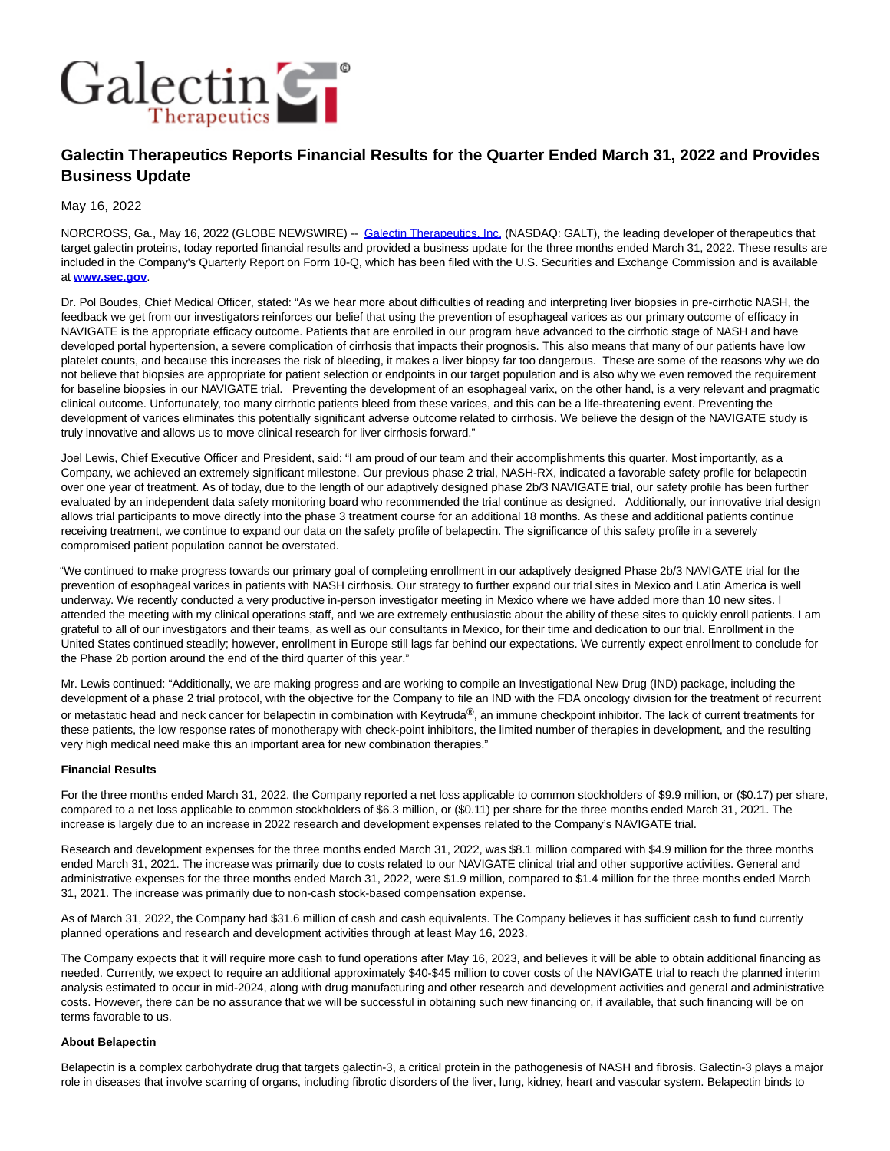

# **Galectin Therapeutics Reports Financial Results for the Quarter Ended March 31, 2022 and Provides Business Update**

May 16, 2022

NORCROSS, Ga., May 16, 2022 (GLOBE NEWSWIRE) -- [Galectin Therapeutics, Inc. \(](https://www.globenewswire.com/Tracker?data=FZbGwn7_d5MyuuiR5rCkSl5a-g3XOc8rTz77lHRHSKEHK1YGbLHj_5SPQTDXBa59eL1FsqpHxRhc5iARZLcNSBn48p6kkGXuPXP9LO9znyrkKnWwF8QsMneAsTj7azuD)NASDAQ: GALT), the leading developer of therapeutics that target galectin proteins, today reported financial results and provided a business update for the three months ended March 31, 2022. These results are included in the Company's Quarterly Report on Form 10-Q, which has been filed with the U.S. Securities and Exchange Commission and is available at **[www.sec.gov](https://www.globenewswire.com/Tracker?data=4_AEPvNUZm8QkaZ2FjlpsIDbC8oE5daWCFYB-oA4L5pDDJvJ2Hr3hrSIKXM_7Em3wUflH93Rak_99tcySH70A_vaTwYVOsyNUjw6bgwZjcS_zvN7ztQvYUb2bt4h_FzcCIk_TZRYI7WRqIO_yFLpREZDY16Nl8-LmfRdPA1sjGoyQLxX5nS4VdcrB6g-6O0Dt-9iNBm4dgqaoRufwFel-0udByVXuqFBDyO0MsG8z0e7e9hIMhnhI4fbkO_CgH2rzGXrWZQr4tbnf7DnnhqntlWchUsBVz_Q4g9NJ1FHcGdGtd8Xa3OylEX9nHS6c0zul0ez_cF7ajs504NYNYDDjX3YVs1JQTgDui1NZ1F7-HNCcutigEjGAieq9PCyCzlp_nj-dDnFXHqroVYeDenKTfeIdygp36SkDrgiK8I7O0g=)**.

Dr. Pol Boudes, Chief Medical Officer, stated: "As we hear more about difficulties of reading and interpreting liver biopsies in pre-cirrhotic NASH, the feedback we get from our investigators reinforces our belief that using the prevention of esophageal varices as our primary outcome of efficacy in NAVIGATE is the appropriate efficacy outcome. Patients that are enrolled in our program have advanced to the cirrhotic stage of NASH and have developed portal hypertension, a severe complication of cirrhosis that impacts their prognosis. This also means that many of our patients have low platelet counts, and because this increases the risk of bleeding, it makes a liver biopsy far too dangerous. These are some of the reasons why we do not believe that biopsies are appropriate for patient selection or endpoints in our target population and is also why we even removed the requirement for baseline biopsies in our NAVIGATE trial. Preventing the development of an esophageal varix, on the other hand, is a very relevant and pragmatic clinical outcome. Unfortunately, too many cirrhotic patients bleed from these varices, and this can be a life-threatening event. Preventing the development of varices eliminates this potentially significant adverse outcome related to cirrhosis. We believe the design of the NAVIGATE study is truly innovative and allows us to move clinical research for liver cirrhosis forward."

Joel Lewis, Chief Executive Officer and President, said: "I am proud of our team and their accomplishments this quarter. Most importantly, as a Company, we achieved an extremely significant milestone. Our previous phase 2 trial, NASH-RX, indicated a favorable safety profile for belapectin over one year of treatment. As of today, due to the length of our adaptively designed phase 2b/3 NAVIGATE trial, our safety profile has been further evaluated by an independent data safety monitoring board who recommended the trial continue as designed. Additionally, our innovative trial design allows trial participants to move directly into the phase 3 treatment course for an additional 18 months. As these and additional patients continue receiving treatment, we continue to expand our data on the safety profile of belapectin. The significance of this safety profile in a severely compromised patient population cannot be overstated.

"We continued to make progress towards our primary goal of completing enrollment in our adaptively designed Phase 2b/3 NAVIGATE trial for the prevention of esophageal varices in patients with NASH cirrhosis. Our strategy to further expand our trial sites in Mexico and Latin America is well underway. We recently conducted a very productive in-person investigator meeting in Mexico where we have added more than 10 new sites. I attended the meeting with my clinical operations staff, and we are extremely enthusiastic about the ability of these sites to quickly enroll patients. I am grateful to all of our investigators and their teams, as well as our consultants in Mexico, for their time and dedication to our trial. Enrollment in the United States continued steadily; however, enrollment in Europe still lags far behind our expectations. We currently expect enrollment to conclude for the Phase 2b portion around the end of the third quarter of this year."

Mr. Lewis continued: "Additionally, we are making progress and are working to compile an Investigational New Drug (IND) package, including the development of a phase 2 trial protocol, with the objective for the Company to file an IND with the FDA oncology division for the treatment of recurrent or metastatic head and neck cancer for belapectin in combination with Keytruda®, an immune checkpoint inhibitor. The lack of current treatments for these patients, the low response rates of monotherapy with check-point inhibitors, the limited number of therapies in development, and the resulting very high medical need make this an important area for new combination therapies."

#### **Financial Results**

For the three months ended March 31, 2022, the Company reported a net loss applicable to common stockholders of \$9.9 million, or (\$0.17) per share, compared to a net loss applicable to common stockholders of \$6.3 million, or (\$0.11) per share for the three months ended March 31, 2021. The increase is largely due to an increase in 2022 research and development expenses related to the Company's NAVIGATE trial.

Research and development expenses for the three months ended March 31, 2022, was \$8.1 million compared with \$4.9 million for the three months ended March 31, 2021. The increase was primarily due to costs related to our NAVIGATE clinical trial and other supportive activities. General and administrative expenses for the three months ended March 31, 2022, were \$1.9 million, compared to \$1.4 million for the three months ended March 31, 2021. The increase was primarily due to non-cash stock-based compensation expense.

As of March 31, 2022, the Company had \$31.6 million of cash and cash equivalents. The Company believes it has sufficient cash to fund currently planned operations and research and development activities through at least May 16, 2023.

The Company expects that it will require more cash to fund operations after May 16, 2023, and believes it will be able to obtain additional financing as needed. Currently, we expect to require an additional approximately \$40-\$45 million to cover costs of the NAVIGATE trial to reach the planned interim analysis estimated to occur in mid-2024, along with drug manufacturing and other research and development activities and general and administrative costs. However, there can be no assurance that we will be successful in obtaining such new financing or, if available, that such financing will be on terms favorable to us.

#### **About Belapectin**

Belapectin is a complex carbohydrate drug that targets galectin-3, a critical protein in the pathogenesis of NASH and fibrosis. Galectin-3 plays a major role in diseases that involve scarring of organs, including fibrotic disorders of the liver, lung, kidney, heart and vascular system. Belapectin binds to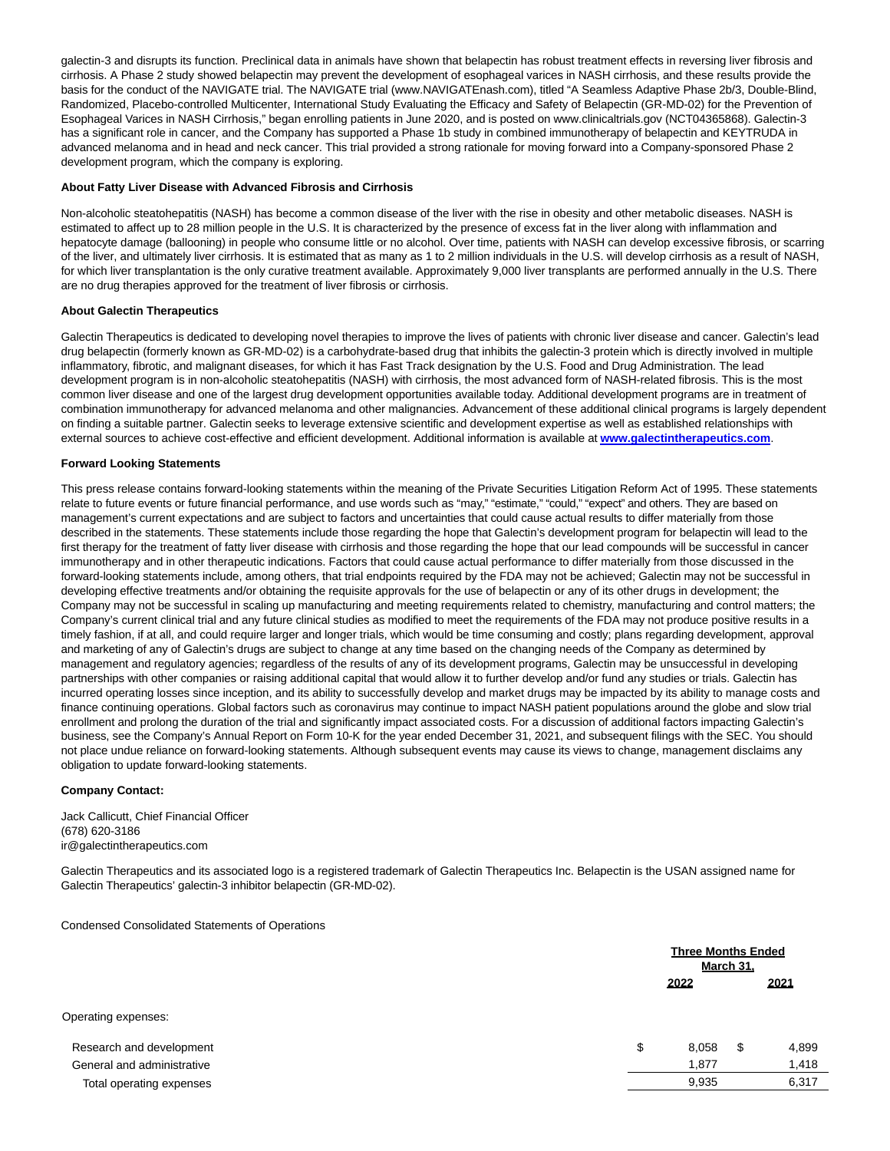galectin-3 and disrupts its function. Preclinical data in animals have shown that belapectin has robust treatment effects in reversing liver fibrosis and cirrhosis. A Phase 2 study showed belapectin may prevent the development of esophageal varices in NASH cirrhosis, and these results provide the basis for the conduct of the NAVIGATE trial. The NAVIGATE trial (www.NAVIGATEnash.com), titled "A Seamless Adaptive Phase 2b/3, Double-Blind, Randomized, Placebo-controlled Multicenter, International Study Evaluating the Efficacy and Safety of Belapectin (GR-MD-02) for the Prevention of Esophageal Varices in NASH Cirrhosis," began enrolling patients in June 2020, and is posted on www.clinicaltrials.gov (NCT04365868). Galectin-3 has a significant role in cancer, and the Company has supported a Phase 1b study in combined immunotherapy of belapectin and KEYTRUDA in advanced melanoma and in head and neck cancer. This trial provided a strong rationale for moving forward into a Company-sponsored Phase 2 development program, which the company is exploring.

## **About Fatty Liver Disease with Advanced Fibrosis and Cirrhosis**

Non-alcoholic steatohepatitis (NASH) has become a common disease of the liver with the rise in obesity and other metabolic diseases. NASH is estimated to affect up to 28 million people in the U.S. It is characterized by the presence of excess fat in the liver along with inflammation and hepatocyte damage (ballooning) in people who consume little or no alcohol. Over time, patients with NASH can develop excessive fibrosis, or scarring of the liver, and ultimately liver cirrhosis. It is estimated that as many as 1 to 2 million individuals in the U.S. will develop cirrhosis as a result of NASH, for which liver transplantation is the only curative treatment available. Approximately 9,000 liver transplants are performed annually in the U.S. There are no drug therapies approved for the treatment of liver fibrosis or cirrhosis.

# **About Galectin Therapeutics**

Galectin Therapeutics is dedicated to developing novel therapies to improve the lives of patients with chronic liver disease and cancer. Galectin's lead drug belapectin (formerly known as GR-MD-02) is a carbohydrate-based drug that inhibits the galectin-3 protein which is directly involved in multiple inflammatory, fibrotic, and malignant diseases, for which it has Fast Track designation by the U.S. Food and Drug Administration. The lead development program is in non-alcoholic steatohepatitis (NASH) with cirrhosis, the most advanced form of NASH-related fibrosis. This is the most common liver disease and one of the largest drug development opportunities available today. Additional development programs are in treatment of combination immunotherapy for advanced melanoma and other malignancies. Advancement of these additional clinical programs is largely dependent on finding a suitable partner. Galectin seeks to leverage extensive scientific and development expertise as well as established relationships with external sources to achieve cost-effective and efficient development. Additional information is available at **[www.galectintherapeutics.com](https://www.globenewswire.com/Tracker?data=vk8hLV9iJq8-Yr3vuit4PUGOvcHEJZyKV0XBwYI8KFwVgjoI_pX2yQHBiaPaK886K-0p1oGmyf9K1-kP288b7xE0XGPeg1JgPt2UgkpxD3uFRqHCQjXqP4ll4tKW7oAbW5ZaHBuSkJXODlur45xNUaMBpyGWqTt4-Sy-ouTgYVJZguBGYmHuZSZjpRLAUqETA3Q804c9gnk9EUAIi5hWOIAkMIaXgo2FZt9rmO-mHspnZq_KiqvOGJ9QjQObCbskbT5aZOmhORYkrLYwEFhlINeBydsNVWDRDFGwrpkaqBU=)**.

### **Forward Looking Statements**

This press release contains forward-looking statements within the meaning of the Private Securities Litigation Reform Act of 1995. These statements relate to future events or future financial performance, and use words such as "may," "estimate," "could," "expect" and others. They are based on management's current expectations and are subject to factors and uncertainties that could cause actual results to differ materially from those described in the statements. These statements include those regarding the hope that Galectin's development program for belapectin will lead to the first therapy for the treatment of fatty liver disease with cirrhosis and those regarding the hope that our lead compounds will be successful in cancer immunotherapy and in other therapeutic indications. Factors that could cause actual performance to differ materially from those discussed in the forward-looking statements include, among others, that trial endpoints required by the FDA may not be achieved; Galectin may not be successful in developing effective treatments and/or obtaining the requisite approvals for the use of belapectin or any of its other drugs in development; the Company may not be successful in scaling up manufacturing and meeting requirements related to chemistry, manufacturing and control matters; the Company's current clinical trial and any future clinical studies as modified to meet the requirements of the FDA may not produce positive results in a timely fashion, if at all, and could require larger and longer trials, which would be time consuming and costly; plans regarding development, approval and marketing of any of Galectin's drugs are subject to change at any time based on the changing needs of the Company as determined by management and regulatory agencies; regardless of the results of any of its development programs, Galectin may be unsuccessful in developing partnerships with other companies or raising additional capital that would allow it to further develop and/or fund any studies or trials. Galectin has incurred operating losses since inception, and its ability to successfully develop and market drugs may be impacted by its ability to manage costs and finance continuing operations. Global factors such as coronavirus may continue to impact NASH patient populations around the globe and slow trial enrollment and prolong the duration of the trial and significantly impact associated costs. For a discussion of additional factors impacting Galectin's business, see the Company's Annual Report on Form 10-K for the year ended December 31, 2021, and subsequent filings with the SEC. You should not place undue reliance on forward-looking statements. Although subsequent events may cause its views to change, management disclaims any obligation to update forward-looking statements.

## **Company Contact:**

Jack Callicutt, Chief Financial Officer (678) 620-3186 ir@galectintherapeutics.com

Galectin Therapeutics and its associated logo is a registered trademark of Galectin Therapeutics Inc. Belapectin is the USAN assigned name for Galectin Therapeutics' galectin-3 inhibitor belapectin (GR-MD-02).

Condensed Consolidated Statements of Operations

| <b>Three Months Ended</b><br><b>March 31.</b> |    |       |
|-----------------------------------------------|----|-------|
| 2022                                          |    | 2021  |
|                                               |    |       |
| \$<br>8,058                                   | \$ | 4,899 |
| 1,877                                         |    | 1,418 |
| 9,935                                         |    | 6,317 |
|                                               |    |       |